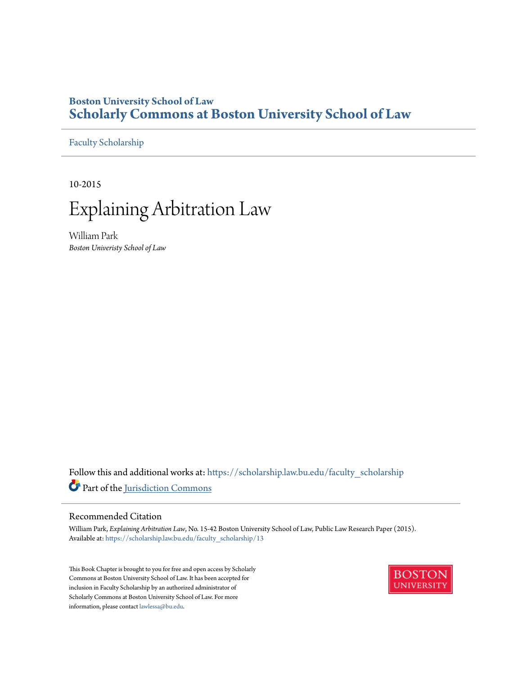## **Boston University School of Law [Scholarly Commons at Boston University School of Law](https://scholarship.law.bu.edu?utm_source=scholarship.law.bu.edu%2Ffaculty_scholarship%2F13&utm_medium=PDF&utm_campaign=PDFCoverPages)**

[Faculty Scholarship](https://scholarship.law.bu.edu/faculty_scholarship?utm_source=scholarship.law.bu.edu%2Ffaculty_scholarship%2F13&utm_medium=PDF&utm_campaign=PDFCoverPages)

10-2015



William Park *Boston Univeristy School of Law*

Follow this and additional works at: [https://scholarship.law.bu.edu/faculty\\_scholarship](https://scholarship.law.bu.edu/faculty_scholarship?utm_source=scholarship.law.bu.edu%2Ffaculty_scholarship%2F13&utm_medium=PDF&utm_campaign=PDFCoverPages) Part of the [Jurisdiction Commons](http://network.bepress.com/hgg/discipline/850?utm_source=scholarship.law.bu.edu%2Ffaculty_scholarship%2F13&utm_medium=PDF&utm_campaign=PDFCoverPages)

#### Recommended Citation

William Park, *Explaining Arbitration Law*, No. 15-42 Boston University School of Law, Public Law Research Paper (2015). Available at: [https://scholarship.law.bu.edu/faculty\\_scholarship/13](https://scholarship.law.bu.edu/faculty_scholarship/13?utm_source=scholarship.law.bu.edu%2Ffaculty_scholarship%2F13&utm_medium=PDF&utm_campaign=PDFCoverPages)

This Book Chapter is brought to you for free and open access by Scholarly Commons at Boston University School of Law. It has been accepted for inclusion in Faculty Scholarship by an authorized administrator of Scholarly Commons at Boston University School of Law. For more information, please contact [lawlessa@bu.edu.](mailto:lawlessa@bu.edu)

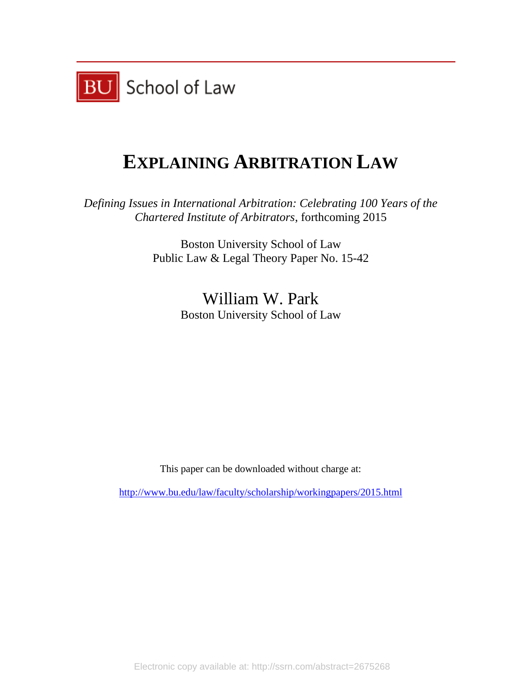

# **EXPLAINING ARBITRATION LAW**

*Defining Issues in International Arbitration: Celebrating 100 Years of the Chartered Institute of Arbitrators*, forthcoming 2015

> Boston University School of Law Public Law & Legal Theory Paper No. 15-42

> > William W. Park Boston University School of Law

This paper can be downloaded without charge at:

<http://www.bu.edu/law/faculty/scholarship/workingpapers/2015.html>

Electronic copy available at: http://ssrn.com/abstract=2675268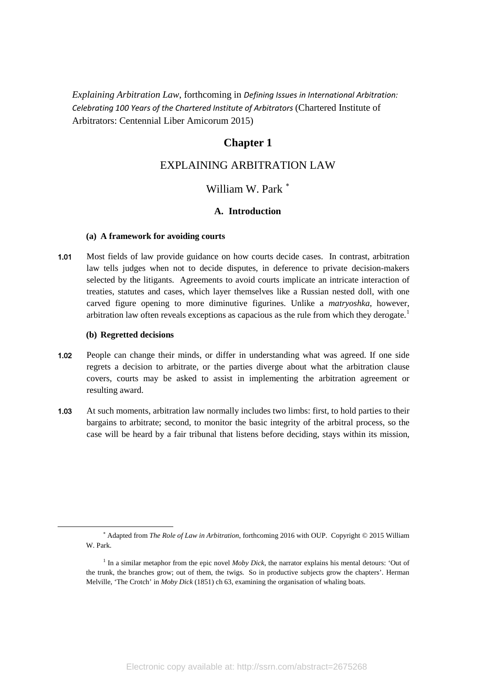*Explaining Arbitration Law*, forthcoming in *Defining Issues in International Arbitration: Celebrating 100 Years of the Chartered Institute of Arbitrators* (Chartered Institute of Arbitrators: Centennial Liber Amicorum 2015)

## **Chapter 1**

## EXPLAINING ARBITRATION LAW

## William W. Park<sup>\*</sup>

#### **A. Introduction**

#### **(a) A framework for avoiding courts**

1.01 Most fields of law provide guidance on how courts decide cases. In contrast, arbitration law tells judges when not to decide disputes, in deference to private decision-makers selected by the litigants. Agreements to avoid courts implicate an intricate interaction of treaties, statutes and cases, which layer themselves like a Russian nested doll, with one carved figure opening to more diminutive figurines. Unlike a *matryoshka*, however, arbitration law often reveals exceptions as capacious as the rule from which they derogate.<sup>[1](#page-2-1)</sup>

#### **(b) Regretted decisions**

<span id="page-2-1"></span><span id="page-2-0"></span>1

- 1.02 People can change their minds, or differ in understanding what was agreed. If one side regrets a decision to arbitrate, or the parties diverge about what the arbitration clause covers, courts may be asked to assist in implementing the arbitration agreement or resulting award.
- 1.03 At such moments, arbitration law normally includes two limbs: first, to hold parties to their bargains to arbitrate; second, to monitor the basic integrity of the arbitral process, so the case will be heard by a fair tribunal that listens before deciding, stays within its mission,

<sup>∗</sup> Adapted from *The Role of Law in Arbitration*, forthcoming 2016 with OUP. Copyright © 2015 William W. Park.

<sup>&</sup>lt;sup>1</sup> In a similar metaphor from the epic novel *Moby Dick*, the narrator explains his mental detours: 'Out of the trunk, the branches grow; out of them, the twigs. So in productive subjects grow the chapters'. Herman Melville, 'The Crotch' in *Moby Dick* (1851) ch 63, examining the organisation of whaling boats.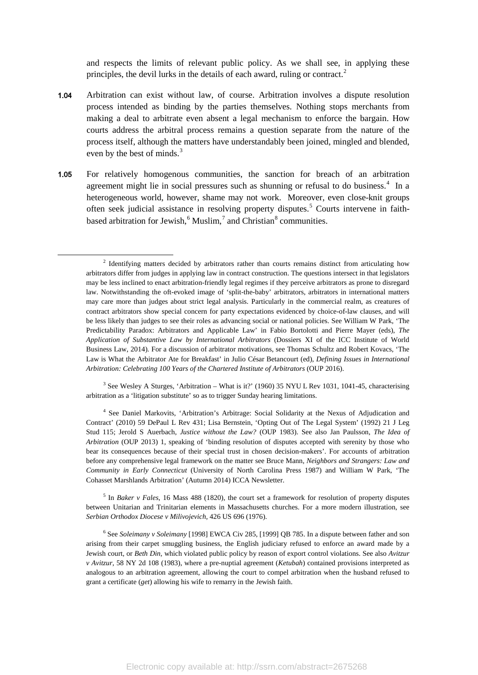and respects the limits of relevant public policy. As we shall see, in applying these principles, the devil lurks in the details of each award, ruling or contract.<sup>[2](#page-3-0)</sup>

- 1.04 Arbitration can exist without law, of course. Arbitration involves a dispute resolution process intended as binding by the parties themselves. Nothing stops merchants from making a deal to arbitrate even absent a legal mechanism to enforce the bargain. How courts address the arbitral process remains a question separate from the nature of the process itself, although the matters have understandably been joined, mingled and blended, even by the best of minds.<sup>[3](#page-3-1)</sup>
- 1.05 For relatively homogenous communities, the sanction for breach of an arbitration agreement might lie in social pressures such as shunning or refusal to do business.<sup>[4](#page-3-2)</sup> In a heterogeneous world, however, shame may not work. Moreover, even close-knit groups often seek judicial assistance in resolving property disputes.<sup>[5](#page-3-3)</sup> Courts intervene in faithbased arbitration for Jewish, $6$  Muslim, $7$  and Christian $8$  communities.

<span id="page-3-5"></span><span id="page-3-0"></span>1

<span id="page-3-6"></span><span id="page-3-1"></span><sup>3</sup> See Wesley A Sturges, 'Arbitration – What is it?' (1960) 35 NYU L Rev 1031, 1041-45, characterising arbitration as a 'litigation substitute' so as to trigger Sunday hearing limitations.

<span id="page-3-2"></span><sup>4</sup> See Daniel Markovits, ['Arbitration's Arbitrage: Social Solidarity at the Nexus of Adjudication and](http://digitalcommons.law.yale.edu/cgi/viewcontent.cgi?article=1424&context=fss_papers)  [Contract'](http://digitalcommons.law.yale.edu/cgi/viewcontent.cgi?article=1424&context=fss_papers) (2010) 59 DePaul L Rev 431; Lisa Bernstein, 'Opting Out of The Legal System' (1992) 21 J Leg Stud 115; Jerold S Auerbach, *Justice without the Law?* (OUP 1983). See also Jan Paulsson, *The Idea of Arbitration* (OUP 2013) 1, speaking of 'binding resolution of disputes accepted with serenity by those who bear its consequences because of their special trust in chosen decision-makers'. For accounts of arbitration before any comprehensive legal framework on the matter see Bruce Mann, *Neighbors and Strangers: Law and Community in Early Connecticut* (University of North Carolina Press 1987) and William W Park, 'The Cohasset Marshlands Arbitration' (Autumn 2014) ICCA Newsletter.

<span id="page-3-3"></span><sup>5</sup> In *Baker v Fales*, 16 Mass 488 (1820), the court set a framework for resolution of property disputes between Unitarian and Trinitarian elements in Massachusetts churches. For a more modern illustration, see *Serbian Orthodox Diocese v Milivojevich*, 426 US 696 (1976).

<span id="page-3-4"></span><sup>6</sup> See *Soleimany v Soleimany* [1998] EWCA Civ 285, [1999] QB 785. In a dispute between father and son arising from their carpet smuggling business, the English judiciary refused to enforce an award made by a Jewish court, or *Beth Din,* which violated public policy by reason of export control violations. See also *Avitzur v Avitzur*, 58 NY 2d 108 (1983), where a pre-nuptial agreement (*Ketubah*) contained provisions interpreted as analogous to an arbitration agreement, allowing the court to compel arbitration when the husband refused to grant a certificate (*get*) allowing his wife to remarry in the Jewish faith.

<sup>&</sup>lt;sup>2</sup> Identifying matters decided by arbitrators rather than courts remains distinct from articulating how arbitrators differ from judges in applying law in contract construction. The questions intersect in that legislators may be less inclined to enact arbitration-friendly legal regimes if they perceive arbitrators as prone to disregard law. Notwithstanding the oft-evoked image of 'split-the-baby' arbitrators, arbitrators in international matters may care more than judges about strict legal analysis. Particularly in the commercial realm, as creatures of contract arbitrators show special concern for party expectations evidenced by choice-of-law clauses, and will be less likely than judges to see their roles as advancing social or national policies. See William W Park, 'The Predictability Paradox: Arbitrators and Applicable Law' in Fabio Bortolotti and Pierre Mayer (eds), *The Application of Substantive Law by International Arbitrators* (Dossiers XI of the ICC Institute of World Business Law, 2014). For a discussion of arbitrator motivations, see Thomas Schultz and Robert Kovacs, 'The Law is What the Arbitrator Ate for Breakfast' in Julio César Betancourt (ed), *Defining Issues in International Arbitration: Celebrating 100 Years of the Chartered Institute of Arbitrators* (OUP 2016).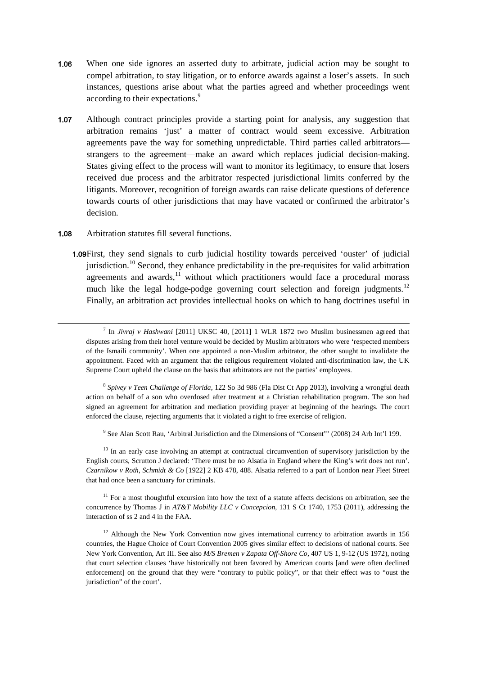- 1.06 When one side ignores an asserted duty to arbitrate, judicial action may be sought to compel arbitration, to stay litigation, or to enforce awards against a loser's assets. In such instances, questions arise about what the parties agreed and whether proceedings went according to their expectations.<sup>[9](#page-4-0)</sup>
- 1.07 Although contract principles provide a starting point for analysis, any suggestion that arbitration remains 'just' a matter of contract would seem excessive. Arbitration agreements pave the way for something unpredictable. Third parties called arbitrators strangers to the agreement—make an award which replaces judicial decision-making. States giving effect to the process will want to monitor its legitimacy, to ensure that losers received due process and the arbitrator respected jurisdictional limits conferred by the litigants. Moreover, recognition of foreign awards can raise delicate questions of deference towards courts of other jurisdictions that may have vacated or confirmed the arbitrator's decision.

#### 1.08 Arbitration statutes fill several functions.

1

1.09First, they send signals to curb judicial hostility towards perceived 'ouster' of judicial jurisdiction.<sup>[10](#page-4-1)</sup> Second, they enhance predictability in the pre-requisites for valid arbitration agreements and awards, $11$  without which practitioners would face a procedural morass much like the legal hodge-podge governing court selection and foreign judgments.<sup>[12](#page-4-3)</sup> Finally, an arbitration act provides intellectual hooks on which to hang doctrines useful in

<sup>8</sup> *Spivey v Teen Challenge of Florida*, 122 So 3d 986 (Fla Dist Ct App 2013), involving a wrongful death action on behalf of a son who overdosed after treatment at a Christian rehabilitation program. The son had signed an agreement for arbitration and mediation providing prayer at beginning of the hearings. The court enforced the clause, rejecting arguments that it violated a right to free exercise of religion.

<sup>9</sup> See Alan Scott Rau, 'Arbitral Jurisdiction and the Dimensions of "Consent"' (2008) 24 Arb Int'l 199.

<span id="page-4-1"></span><span id="page-4-0"></span><sup>10</sup> In an early case involving an attempt at contractual circumvention of supervisory jurisdiction by the English courts, Scrutton J declared: 'There must be no Alsatia in England where the King's writ does not run'. *Czarnikow v Roth, Schmidt & Co* [1922] 2 KB 478, 488. Alsatia referred to a part of London near Fleet Street that had once been a sanctuary for criminals.

<span id="page-4-2"></span> $11$  For a most thoughtful excursion into how the text of a statute affects decisions on arbitration, see the concurrence by Thomas J in *AT&T Mobility LLC v Concepcion*, 131 S Ct 1740, 1753 (2011), addressing the interaction of ss 2 and 4 in the FAA.

<span id="page-4-3"></span><sup>12</sup> Although the New York Convention now gives international currency to arbitration awards in 156 countries, the Hague Choice of Court Convention 2005 gives similar effect to decisions of national courts. See New York Convention, Art III. See also *M/S Bremen v Zapata Off-Shore Co,* 407 US 1, 9-12 (US 1972), noting that court selection clauses 'have historically not been favored by American courts [and were often declined enforcement] on the ground that they were "contrary to public policy", or that their effect was to "oust the jurisdiction" of the court'.

<sup>7</sup> In *Jivraj v Hashwani* [2011] UKSC 40, [2011] 1 WLR 1872 two Muslim businessmen agreed that disputes arising from their hotel venture would be decided by Muslim arbitrators who were 'respected members of the Ismaili community'. When one appointed a non-Muslim arbitrator, the other sought to invalidate the appointment. Faced with an argument that the religious requirement violated anti-discrimination law, the UK Supreme Court upheld the clause on the basis that arbitrators are not the parties' employees.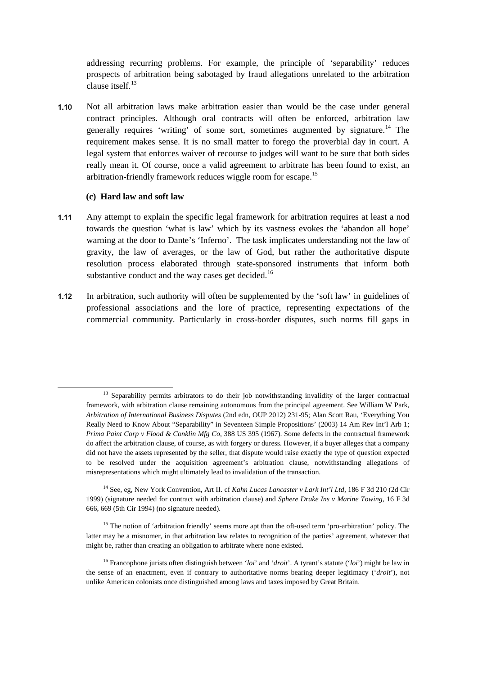addressing recurring problems. For example, the principle of 'separability' reduces prospects of arbitration being sabotaged by fraud allegations unrelated to the arbitration clause itself<sup>[13](#page-5-0)</sup>

1.10 Not all arbitration laws make arbitration easier than would be the case under general contract principles. Although oral contracts will often be enforced, arbitration law generally requires 'writing' of some sort, sometimes augmented by signature.<sup>[14](#page-5-1)</sup> The requirement makes sense. It is no small matter to forego the proverbial day in court. A legal system that enforces waiver of recourse to judges will want to be sure that both sides really mean it. Of course, once a valid agreement to arbitrate has been found to exist, an arbitration-friendly framework reduces wiggle room for escape.[15](#page-5-2)

#### **(c) Hard law and soft law**

- 1.11 Any attempt to explain the specific legal framework for arbitration requires at least a nod towards the question 'what is law' which by its vastness evokes the 'abandon all hope' warning at the door to Dante's 'Inferno'. The task implicates understanding not the law of gravity, the law of averages, or the law of God, but rather the authoritative dispute resolution process elaborated through state-sponsored instruments that inform both substantive conduct and the way cases get decided.<sup>[16](#page-5-3)</sup>
- 1.12 In arbitration, such authority will often be supplemented by the 'soft law' in guidelines of professional associations and the lore of practice, representing expectations of the commercial community. Particularly in cross-border disputes, such norms fill gaps in

<span id="page-5-0"></span><sup>&</sup>lt;sup>13</sup> Separability permits arbitrators to do their job notwithstanding invalidity of the larger contractual framework, with arbitration clause remaining autonomous from the principal agreement. See William W Park, *Arbitration of International Business Disputes* (2nd edn, OUP 2012) 231-95; Alan Scott Rau, 'Everything You Really Need to Know About "Separability" in Seventeen Simple Propositions' (2003) 14 Am Rev Int'l Arb 1; *Prima Paint Corp v Flood & Conklin Mfg Co*, 388 US 395 (1967). Some defects in the contractual framework do affect the arbitration clause, of course, as with forgery or duress. However, if a buyer alleges that a company did not have the assets represented by the seller, that dispute would raise exactly the type of question expected to be resolved under the acquisition agreement's arbitration clause, notwithstanding allegations of misrepresentations which might ultimately lead to invalidation of the transaction.

<span id="page-5-1"></span><sup>14</sup> See, eg, New York Convention, Art II. cf *Kahn Lucas Lancaster v Lark Int'l Ltd*, 186 F 3d 210 (2d Cir 1999) (signature needed for contract with arbitration clause) and *Sphere Drake Ins v Marine Towing*, 16 F 3d 666, 669 (5th Cir 1994) (no signature needed).

<span id="page-5-2"></span><sup>&</sup>lt;sup>15</sup> The notion of 'arbitration friendly' seems more apt than the oft-used term 'pro-arbitration' policy. The latter may be a misnomer, in that arbitration law relates to recognition of the parties' agreement, whatever that might be, rather than creating an obligation to arbitrate where none existed.

<span id="page-5-3"></span><sup>16</sup> Francophone jurists often distinguish between '*loi*' and '*droit*'. A tyrant's statute ('*loi*') might be law in the sense of an enactment, even if contrary to authoritative norms bearing deeper legitimacy ('*droit*'), not unlike American colonists once distinguished among laws and taxes imposed by Great Britain.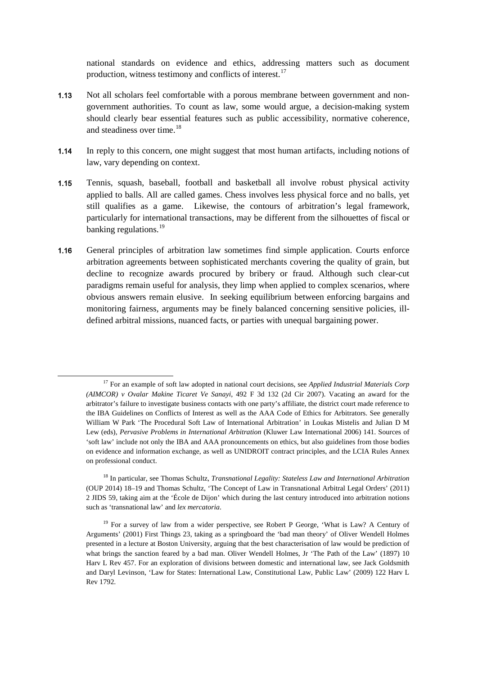national standards on evidence and ethics, addressing matters such as document production, witness testimony and conflicts of interest.[17](#page-6-0)

- 1.13 Not all scholars feel comfortable with a porous membrane between government and nongovernment authorities. To count as law, some would argue, a decision-making system should clearly bear essential features such as public accessibility, normative coherence, and steadiness over time.<sup>[18](#page-6-1)</sup>
- 1.14 In reply to this concern, one might suggest that most human artifacts, including notions of law, vary depending on context.
- 1.15 Tennis, squash, baseball, football and basketball all involve robust physical activity applied to balls. All are called games. Chess involves less physical force and no balls, yet still qualifies as a game. Likewise, the contours of arbitration's legal framework, particularly for international transactions, may be different from the silhouettes of fiscal or banking regulations.<sup>[19](#page-6-2)</sup>
- 1.16 General principles of arbitration law sometimes find simple application. Courts enforce arbitration agreements between sophisticated merchants covering the quality of grain, but decline to recognize awards procured by bribery or fraud. Although such clear-cut paradigms remain useful for analysis, they limp when applied to complex scenarios, where obvious answers remain elusive. In seeking equilibrium between enforcing bargains and monitoring fairness, arguments may be finely balanced concerning sensitive policies, illdefined arbitral missions, nuanced facts, or parties with unequal bargaining power.

<span id="page-6-0"></span><sup>17</sup> For an example of soft law adopted in national court decisions, see *Applied Industrial Materials Corp (AIMCOR) v Ovalar Makine Ticaret Ve Sanayi*, 492 F 3d 132 (2d Cir 2007). Vacating an award for the arbitrator's failure to investigate business contacts with one party's affiliate, the district court made reference to the IBA Guidelines on Conflicts of Interest as well as the AAA Code of Ethics for Arbitrators. See generally William W Park 'The Procedural Soft Law of International Arbitration' in Loukas Mistelis and Julian D M Lew (eds), *Pervasive Problems in International Arbitration* (Kluwer Law International 2006) 141. Sources of 'soft law' include not only the IBA and AAA pronouncements on ethics, but also guidelines from those bodies on evidence and information exchange, as well as UNIDROIT contract principles, and the LCIA Rules Annex on professional conduct.

<span id="page-6-1"></span><sup>18</sup> In particular, see Thomas Schultz, *Transnational Legality: Stateless Law and International Arbitration*  (OUP 2014) 18–19 and Thomas Schultz, 'The Concept of Law in Transnational Arbitral Legal Orders' (2011) 2 JIDS 59, taking aim at the 'École de Dijon' which during the last century introduced into arbitration notions such as 'transnational law' and *lex mercatoria*.

<span id="page-6-2"></span><sup>&</sup>lt;sup>19</sup> For a survey of law from a wider perspective, see Robert P George, 'What is Law? A Century of Arguments' (2001) First Things 23, taking as a springboard the 'bad man theory' of Oliver Wendell Holmes presented in a lecture at Boston University, arguing that the best characterisation of law would be prediction of what brings the sanction feared by a bad man. Oliver Wendell Holmes, Jr 'The Path of the Law' (1897) 10 Harv L Rev 457. For an exploration of divisions between domestic and international law, see Jack Goldsmith and Daryl Levinson, 'Law for States: International Law, Constitutional Law, Public Law' (2009) 122 Harv L Rev 1792.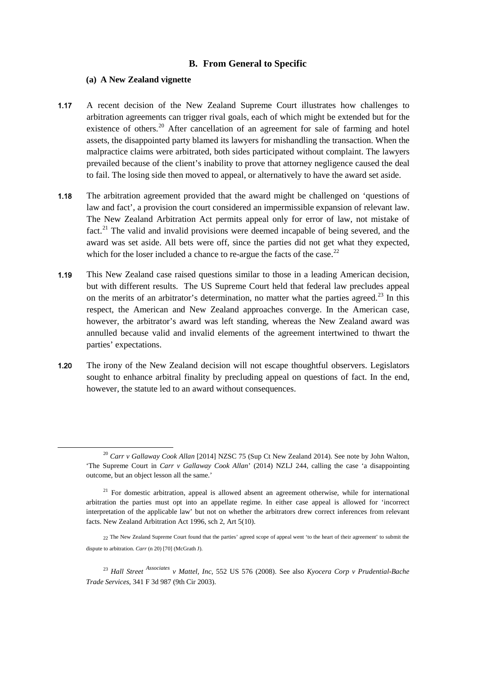#### **B. From General to Specific**

#### **(a) A New Zealand vignette**

- 1.17 A recent decision of the New Zealand Supreme Court illustrates how challenges to arbitration agreements can trigger rival goals, each of which might be extended but for the existence of others.<sup>[20](#page-7-0)</sup> After cancellation of an agreement for sale of farming and hotel assets, the disappointed party blamed its lawyers for mishandling the transaction. When the malpractice claims were arbitrated, both sides participated without complaint. The lawyers prevailed because of the client's inability to prove that attorney negligence caused the deal to fail. The losing side then moved to appeal, or alternatively to have the award set aside.
- 1.18 The arbitration agreement provided that the award might be challenged on 'questions of law and fact', a provision the court considered an impermissible expansion of relevant law. The New Zealand Arbitration Act permits appeal only for error of law, not mistake of fact.<sup>[21](#page-7-1)</sup> The valid and invalid provisions were deemed incapable of being severed, and the award was set aside. All bets were off, since the parties did not get what they expected, which for the loser included a chance to re-argue the facts of the case.<sup>[22](#page-7-2)</sup>
- 1.19 This New Zealand case raised questions similar to those in a leading American decision, but with different results. The US Supreme Court held that federal law precludes appeal on the merits of an arbitrator's determination, no matter what the parties agreed.<sup>[23](#page-7-3)</sup> In this respect, the American and New Zealand approaches converge. In the American case, however, the arbitrator's award was left standing, whereas the New Zealand award was annulled because valid and invalid elements of the agreement intertwined to thwart the parties' expectations.
- 1.20 The irony of the New Zealand decision will not escape thoughtful observers. Legislators sought to enhance arbitral finality by precluding appeal on questions of fact. In the end, however, the statute led to an award without consequences.

<span id="page-7-0"></span><sup>20</sup> *Carr v Gallaway Cook Allan* [2014] NZSC 75 (Sup Ct New Zealand 2014). See note by John Walton, 'The Supreme Court in *Carr v Gallaway Cook Allan*' (2014) NZLJ 244, calling the case 'a disappointing outcome, but an object lesson all the same.'

<span id="page-7-1"></span> $21$  For domestic arbitration, appeal is allowed absent an agreement otherwise, while for international arbitration the parties must opt into an appellate regime. In either case appeal is allowed for 'incorrect interpretation of the applicable law' but not on whether the arbitrators drew correct inferences from relevant facts. New Zealand Arbitration Act 1996, sch 2, Art 5(10).

<span id="page-7-2"></span><sup>22</sup> The New Zealand Supreme Court found that the parties' agreed scope of appeal went 'to the heart of their agreement' to submit the dispute to arbitration. *Carr* (n 20) [70] (McGrath J).

<span id="page-7-3"></span><sup>23</sup> *Hall Street Associates v Mattel, Inc*, 552 US 576 (2008). See also *Kyocera Corp v Prudential-Bache Trade Services*, 341 F 3d 987 (9th Cir 2003).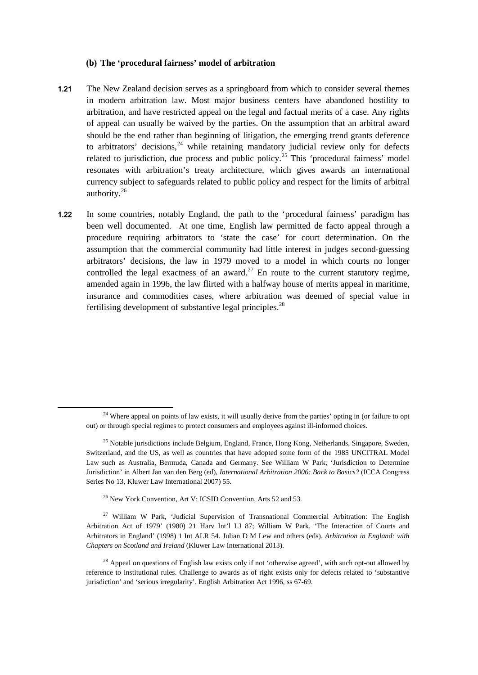#### **(b) The 'procedural fairness' model of arbitration**

- 1.21 The New Zealand decision serves as a springboard from which to consider several themes in modern arbitration law. Most major business centers have abandoned hostility to arbitration, and have restricted appeal on the legal and factual merits of a case. Any rights of appeal can usually be waived by the parties. On the assumption that an arbitral award should be the end rather than beginning of litigation, the emerging trend grants deference to arbitrators' decisions, $24$  while retaining mandatory judicial review only for defects related to jurisdiction, due process and public policy.<sup>[25](#page-8-1)</sup> This 'procedural fairness' model resonates with arbitration's treaty architecture, which gives awards an international currency subject to safeguards related to public policy and respect for the limits of arbitral authority.[26](#page-8-2)
- 1.22 In some countries, notably England, the path to the 'procedural fairness' paradigm has been well documented. At one time, English law permitted de facto appeal through a procedure requiring arbitrators to 'state the case' for court determination. On the assumption that the commercial community had little interest in judges second-guessing arbitrators' decisions, the law in 1979 moved to a model in which courts no longer controlled the legal exactness of an award.<sup>[27](#page-8-3)</sup> En route to the current statutory regime, amended again in 1996, the law flirted with a halfway house of merits appeal in maritime, insurance and commodities cases, where arbitration was deemed of special value in fertilising development of substantive legal principles. $^{28}$  $^{28}$  $^{28}$

<span id="page-8-1"></span><span id="page-8-0"></span>1

<span id="page-8-3"></span><span id="page-8-2"></span><sup>27</sup> William W Park, 'Judicial Supervision of Transnational Commercial Arbitration: The English Arbitration Act of 1979' (1980) 21 Harv Int'l LJ 87; William W Park, 'The Interaction of Courts and Arbitrators in England' (1998) 1 Int ALR 54. Julian D M Lew and others (eds), *Arbitration in England: with Chapters on Scotland and Ireland* (Kluwer Law International 2013).

<sup>&</sup>lt;sup>24</sup> Where appeal on points of law exists, it will usually derive from the parties' opting in (or failure to opt out) or through special regimes to protect consumers and employees against ill-informed choices.

<sup>&</sup>lt;sup>25</sup> Notable jurisdictions include Belgium, England, France, Hong Kong, Netherlands, Singapore, Sweden, Switzerland, and the US, as well as countries that have adopted some form of the 1985 UNCITRAL Model Law such as Australia, Bermuda, Canada and Germany. See William W Park, 'Jurisdiction to Determine Jurisdiction' in Albert Jan van den Berg (ed), *International Arbitration 2006: Back to Basics?* (ICCA Congress Series No 13, Kluwer Law International 2007) 55.

<sup>&</sup>lt;sup>26</sup> New York Convention, Art V; ICSID Convention, Arts 52 and 53.

<span id="page-8-4"></span><sup>&</sup>lt;sup>28</sup> Appeal on questions of English law exists only if not 'otherwise agreed', with such opt-out allowed by reference to institutional rules. Challenge to awards as of right exists only for defects related to 'substantive jurisdiction' and 'serious irregularity'. English Arbitration Act 1996, ss 67-69.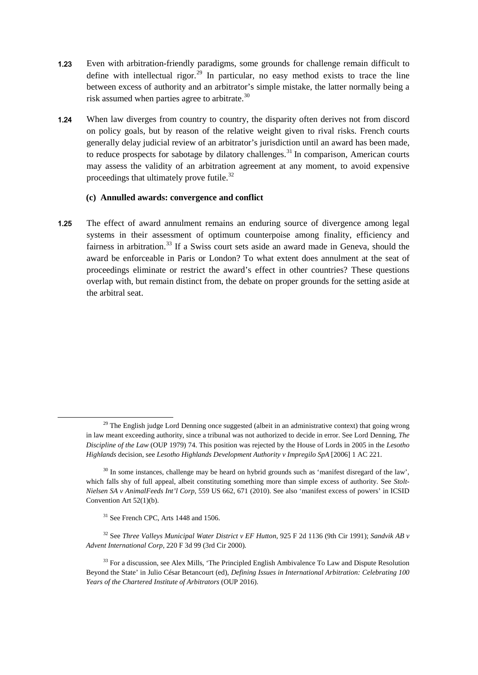- 1.23 Even with arbitration-friendly paradigms, some grounds for challenge remain difficult to define with intellectual rigor.<sup>[29](#page-9-0)</sup> In particular, no easy method exists to trace the line between excess of authority and an arbitrator's simple mistake, the latter normally being a risk assumed when parties agree to arbitrate.<sup>[30](#page-9-1)</sup>
- 1.24 When law diverges from country to country, the disparity often derives not from discord on policy goals, but by reason of the relative weight given to rival risks. French courts generally delay judicial review of an arbitrator's jurisdiction until an award has been made, to reduce prospects for sabotage by dilatory challenges.<sup>[31](#page-9-2)</sup> In comparison, American courts may assess the validity of an arbitration agreement at any moment, to avoid expensive proceedings that ultimately prove futile.<sup>[32](#page-9-3)</sup>

### **(c) Annulled awards: convergence and conflict**

1.25 The effect of award annulment remains an enduring source of divergence among legal systems in their assessment of optimum counterpoise among finality, efficiency and fairness in arbitration.<sup>[33](#page-9-4)</sup> If a Swiss court sets aside an award made in Geneva, should the award be enforceable in Paris or London? To what extent does annulment at the seat of proceedings eliminate or restrict the award's effect in other countries? These questions overlap with, but remain distinct from, the debate on proper grounds for the setting aside at the arbitral seat.

<span id="page-9-0"></span> $29$  The English judge Lord Denning once suggested (albeit in an administrative context) that going wrong in law meant exceeding authority, since a tribunal was not authorized to decide in error. See Lord Denning, *The Discipline of the Law* (OUP 1979) 74. This position was rejected by the House of Lords in 2005 in the *Lesotho Highlands* decision, see *Lesotho Highlands Development Authority v Impregilo SpA* [2006] 1 AC 221.

<span id="page-9-1"></span> $30$  In some instances, challenge may be heard on hybrid grounds such as 'manifest disregard of the law'. which falls shy of full appeal, albeit constituting something more than simple excess of authority. See *Stolt-Nielsen SA v AnimalFeeds Int'l Corp*, 559 US 662, 671 (2010). See also 'manifest excess of powers' in ICSID Convention Art 52(1)(b).

<sup>&</sup>lt;sup>31</sup> See French CPC, Arts 1448 and 1506.

<span id="page-9-3"></span><span id="page-9-2"></span><sup>32</sup> See *Three Valleys Municipal Water District v EF Hutton*, 925 F 2d 1136 (9th Cir 1991); *Sandvik AB v Advent International Corp*, 220 F 3d 99 (3rd Cir 2000).

<span id="page-9-4"></span><sup>&</sup>lt;sup>33</sup> For a discussion, see Alex Mills, 'The Principled English Ambivalence To Law and Dispute Resolution Beyond the State' in Julio César Betancourt (ed), *Defining Issues in International Arbitration: Celebrating 100 Years of the Chartered Institute of Arbitrators* (OUP 2016).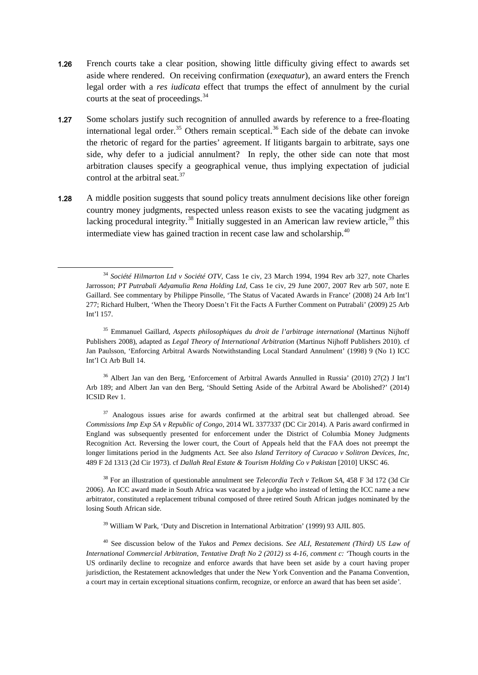- 1.26 French courts take a clear position, showing little difficulty giving effect to awards set aside where rendered. On receiving confirmation (*exequatur*), an award enters the French legal order with a *res iudicata* effect that trumps the effect of annulment by the curial courts at the seat of proceedings.<sup>34</sup>
- 1.27 Some scholars justify such recognition of annulled awards by reference to a free-floating international legal order.<sup>[35](#page-10-1)</sup> Others remain sceptical.<sup>[36](#page-10-2)</sup> Each side of the debate can invoke the rhetoric of regard for the parties' agreement. If litigants bargain to arbitrate, says one side, why defer to a judicial annulment? In reply, the other side can note that most arbitration clauses specify a geographical venue, thus implying expectation of judicial control at the arbitral seat. $37$
- 1.28 A middle position suggests that sound policy treats annulment decisions like other foreign country money judgments, respected unless reason exists to see the vacating judgment as lacking procedural integrity.<sup>[38](#page-10-4)</sup> Initially suggested in an American law review article,<sup>[39](#page-10-5)</sup> this intermediate view has gained traction in recent case law and scholarship.<sup>[40](#page-10-6)</sup>

<span id="page-10-0"></span>1

<span id="page-10-2"></span><sup>36</sup> Albert Jan van den Berg, 'Enforcement of Arbitral Awards Annulled in Russia' (2010) 27(2) J Int'l Arb 189; and Albert Jan van den Berg, 'Should Setting Aside of the Arbitral Award be Abolished?' (2014) ICSID Rev 1.

<span id="page-10-3"></span><sup>37</sup> Analogous issues arise for awards confirmed at the arbitral seat but challenged abroad. See *Commissions Imp Exp SA v Republic of Congo*, 2014 WL 3377337 (DC Cir 2014). A Paris award confirmed in England was subsequently presented for enforcement under the District of Columbia Money Judgments Recognition Act. Reversing the lower court, the Court of Appeals held that the FAA does not preempt the longer limitations period in the Judgments Act. See also *Island Territory of Curacao v Solitron Devices, Inc,* 489 F 2d 1313 (2d Cir 1973). cf *Dallah Real Estate & Tourism Holding Co v Pakistan* [2010] UKSC 46.

<span id="page-10-4"></span><sup>38</sup> For an illustration of questionable annulment see *Telecordia Tech v Telkom SA,* 458 F 3d 172 (3d Cir 2006). An ICC award made in South Africa was vacated by a judge who instead of letting the ICC name a new arbitrator, constituted a replacement tribunal composed of three retired South African judges nominated by the losing South African side.

<sup>39</sup> William W Park, 'Duty and Discretion in International Arbitration' (1999) 93 AJIL 805.

<span id="page-10-6"></span><span id="page-10-5"></span><sup>40</sup> See discussion below of the *Yukos* and *Pemex* decisions. *See ALI, Restatement (Third) US Law of International Commercial Arbitration, Tentative Draft No 2 (2012) ss 4-16, comment c: '*Though courts in the US ordinarily decline to recognize and enforce awards that have been set aside by a court having proper jurisdiction, the Restatement acknowledges that under the New York Convention and the Panama Convention, a court may in certain exceptional situations confirm, recognize, or enforce an award that has been set aside*'.*

<sup>34</sup> *Société Hilmarton Ltd v Société OTV*, Cass 1e civ, 23 March 1994, 1994 Rev arb 327, note Charles Jarrosson; *PT Putrabali Adyamulia Rena Holding Ltd*, Cass 1e civ, 29 June 2007, 2007 Rev arb 507, note E Gaillard. See commentary by Philippe Pinsolle, 'The Status of Vacated Awards in France' (2008) 24 Arb Int'l 277; Richard Hulbert, 'When the Theory Doesn't Fit the Facts A Further Comment on Putrabali' (2009) 25 Arb Int'l 157.

<span id="page-10-1"></span><sup>35</sup> Emmanuel Gaillard, *Aspects philosophiques du droit de l'arbitrage international* (Martinus Nijhoff Publishers 2008), adapted as *Legal Theory of International Arbitration* (Martinus Nijhoff Publishers 2010). cf Jan Paulsson, 'Enforcing Arbitral Awards Notwithstanding Local Standard Annulment' (1998) 9 (No 1) ICC Int'l Ct Arb Bull 14.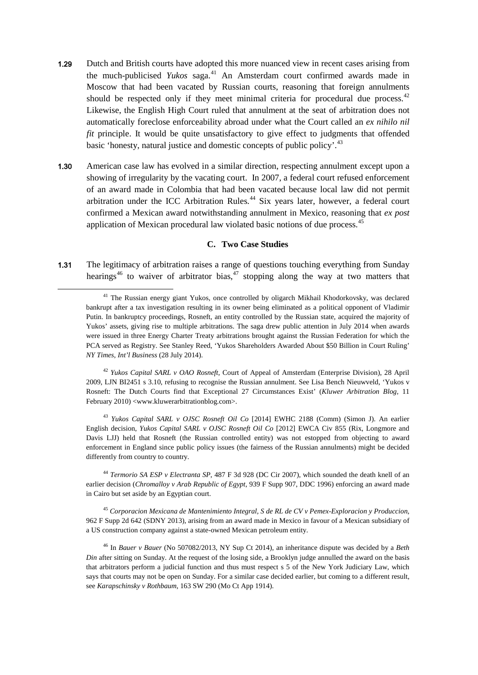- 1.29 Dutch and British courts have adopted this more nuanced view in recent cases arising from the much-publicised *Yukos* saga.<sup>[41](#page-11-0)</sup> An Amsterdam court confirmed awards made in Moscow that had been vacated by Russian courts, reasoning that foreign annulments should be respected only if they meet minimal criteria for procedural due process.<sup>[42](#page-11-1)</sup> Likewise, the English High Court ruled that annulment at the seat of arbitration does not automatically foreclose enforceability abroad under what the Court called an *ex nihilo nil fit* principle. It would be quite unsatisfactory to give effect to judgments that offended basic 'honesty, natural justice and domestic concepts of public policy'.<sup>[43](#page-11-2)</sup>
- 1.30 American case law has evolved in a similar direction, respecting annulment except upon a showing of irregularity by the vacating court. In 2007, a federal court refused enforcement of an award made in Colombia that had been vacated because local law did not permit arbitration under the ICC Arbitration Rules.<sup>[44](#page-11-3)</sup> Six years later, however, a federal court confirmed a Mexican award notwithstanding annulment in Mexico, reasoning that *ex post* application of Mexican procedural law violated basic notions of due process.<sup>[45](#page-11-4)</sup>

#### **C. Two Case Studies**

1.31 The legitimacy of arbitration raises a range of questions touching everything from Sunday hearings<sup>[46](#page-11-5)</sup> to waiver of arbitrator bias,<sup>[47](#page-11-6)</sup> stopping along the way at two matters that

<span id="page-11-0"></span>1

<span id="page-11-1"></span><sup>42</sup> *Yukos Capital SARL v OAO Rosneft*, Court of Appeal of Amsterdam (Enterprise Division), 28 April 2009, LJN BI2451 s 3.10, refusing to recognise the Russian annulment. See Lisa Bench Nieuwveld, 'Yukos v Rosneft: The Dutch Courts find that Exceptional 27 Circumstances Exist' (*Kluwer Arbitration Blog,* 11 February 2010) <www.kluwerarbitrationblog.com>.

<span id="page-11-2"></span><sup>43</sup> *Yukos Capital SARL v OJSC Rosneft Oil Co* [2014] EWHC 2188 (Comm) (Simon J). An earlier English decision, *Yukos Capital SARL v OJSC Rosneft Oil Co* [2012] EWCA Civ 855 (Rix, Longmore and Davis LJJ) held that Rosneft (the Russian controlled entity) was not estopped from objecting to award enforcement in England since public policy issues (the fairness of the Russian annulments) might be decided differently from country to country.

<span id="page-11-6"></span><span id="page-11-3"></span><sup>44</sup> *Termorio SA ESP v Electranta SP*, 487 F 3d 928 (DC Cir 2007), which sounded the death knell of an earlier decision (*Chromalloy v Arab Republic of Egypt*, 939 F Supp 907, DDC 1996) enforcing an award made in Cairo but set aside by an Egyptian court.

<span id="page-11-4"></span><sup>45</sup> *Corporacion Mexicana de Mantenimiento Integral, S de RL de CV v Pemex-Exploracion y Produccion*, 962 F Supp 2d 642 (SDNY 2013), arising from an award made in Mexico in favour of a Mexican subsidiary of a US construction company against a state-owned Mexican petroleum entity.

<span id="page-11-5"></span><sup>46</sup> In *Bauer v Bauer* (No 507082/2013, NY Sup Ct 2014), an inheritance dispute was decided by a *Beth Din* after sitting on Sunday. At the request of the losing side, a Brooklyn judge annulled the award on the basis that arbitrators perform a judicial function and thus must respect s 5 of the New York Judiciary Law, which says that courts may not be open on Sunday. For a similar case decided earlier, but coming to a different result, see *Karapschinsky v Rothbaum*, 163 SW 290 (Mo Ct App 1914).

<sup>&</sup>lt;sup>41</sup> The Russian energy giant Yukos, once controlled by oligarch Mikhail Khodorkovsky, was declared bankrupt after a tax investigation resulting in its owner being eliminated as a political opponent of Vladimir Putin. In bankruptcy proceedings, Rosneft, an entity controlled by the Russian state, acquired the majority of Yukos' assets, giving rise to multiple arbitrations. The saga drew public attention in July 2014 when awards were issued in three Energy Charter Treaty arbitrations brought against the Russian Federation for which the PCA served as Registry. See Stanley Reed, 'Yukos Shareholders Awarded About \$50 Billion in Court Ruling' *NY Times, Int'l Business* (28 July 2014).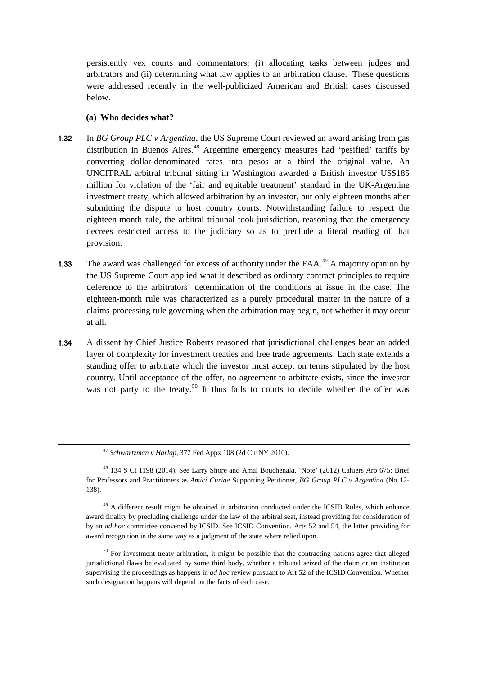persistently vex courts and commentators: (i) allocating tasks between judges and arbitrators and (ii) determining what law applies to an arbitration clause. These questions were addressed recently in the well-publicized American and British cases discussed below.

#### **(a) Who decides what?**

- 1.32 In *BG Group PLC v Argentina*, the US Supreme Court reviewed an award arising from gas distribution in Buenos Aires.<sup>[48](#page-12-0)</sup> Argentine emergency measures had 'pesified' tariffs by converting dollar-denominated rates into pesos at a third the original value. An UNCITRAL arbitral tribunal sitting in Washington awarded a British investor US\$185 million for violation of the 'fair and equitable treatment' standard in the UK-Argentine investment treaty, which allowed arbitration by an investor, but only eighteen months after submitting the dispute to host country courts. Notwithstanding failure to respect the eighteen-month rule, the arbitral tribunal took jurisdiction, reasoning that the emergency decrees restricted access to the judiciary so as to preclude a literal reading of that provision.
- 1.33 The award was challenged for excess of authority under the FAA.<sup>[49](#page-12-1)</sup> A majority opinion by the US Supreme Court applied what it described as ordinary contract principles to require deference to the arbitrators' determination of the conditions at issue in the case. The eighteen-month rule was characterized as a purely procedural matter in the nature of a claims-processing rule governing when the arbitration may begin, not whether it may occur at all.
- 1.34 A dissent by Chief Justice Roberts reasoned that jurisdictional challenges bear an added layer of complexity for investment treaties and free trade agreements. Each state extends a standing offer to arbitrate which the investor must accept on terms stipulated by the host country. Until acceptance of the offer, no agreement to arbitrate exists, since the investor was not party to the treaty.<sup>[50](#page-12-2)</sup> It thus falls to courts to decide whether the offer was

<sup>47</sup> *Schwartzman v Harlap*, 377 Fed Appx 108 (2d Cir NY 2010).

<span id="page-12-0"></span><sup>48</sup> 134 S Ct 1198 (2014). See Larry Shore and Amal Bouchenaki, 'Note' (2012) Cahiers Arb 675; Brief for Professors and Practitioners as *Amici Curiae* Supporting Petitioner, *BG Group PLC v Argentina* (No 12- 138).

<span id="page-12-1"></span><sup>&</sup>lt;sup>49</sup> A different result might be obtained in arbitration conducted under the ICSID Rules, which enhance award finality by precluding challenge under the law of the arbitral seat, instead providing for consideration of by an *ad hoc* committee convened by ICSID. See ICSID Convention, Arts 52 and 54, the latter providing for award recognition in the same way as a judgment of the state where relied upon.

<span id="page-12-2"></span><sup>&</sup>lt;sup>50</sup> For investment treaty arbitration, it might be possible that the contracting nations agree that alleged jurisdictional flaws be evaluated by some third body, whether a tribunal seized of the claim or an institution supervising the proceedings as happens in *ad hoc* review pursuant to Art 52 of the ICSID Convention. Whether such designation happens will depend on the facts of each case.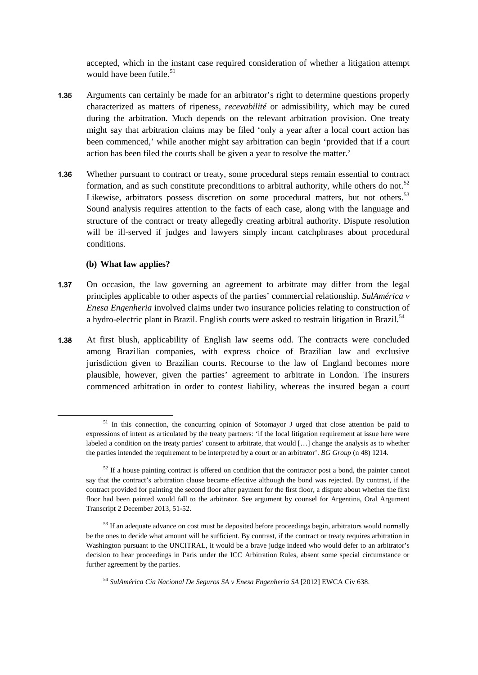accepted, which in the instant case required consideration of whether a litigation attempt would have been futile. $51$ 

- 1.35 Arguments can certainly be made for an arbitrator's right to determine questions properly characterized as matters of ripeness, *recevabilité* or admissibility, which may be cured during the arbitration. Much depends on the relevant arbitration provision. One treaty might say that arbitration claims may be filed 'only a year after a local court action has been commenced,' while another might say arbitration can begin 'provided that if a court action has been filed the courts shall be given a year to resolve the matter.'
- 1.36 Whether pursuant to contract or treaty, some procedural steps remain essential to contract formation, and as such constitute preconditions to arbitral authority, while others do not.<sup>[52](#page-13-1)</sup> Likewise, arbitrators possess discretion on some procedural matters, but not others.<sup>[53](#page-13-2)</sup> Sound analysis requires attention to the facts of each case, along with the language and structure of the contract or treaty allegedly creating arbitral authority. Dispute resolution will be ill-served if judges and lawyers simply incant catchphrases about procedural conditions.

#### **(b) What law applies?**

<span id="page-13-1"></span><span id="page-13-0"></span>**.** 

- 1.37 On occasion, the law governing an agreement to arbitrate may differ from the legal principles applicable to other aspects of the parties' commercial relationship. *SulAmérica v Enesa Engenheria* involved claims under two insurance policies relating to construction of a hydro-electric plant in Brazil. English courts were asked to restrain litigation in Brazil.<sup>[54](#page-13-3)</sup>
- 1.38 At first blush, applicability of English law seems odd. The contracts were concluded among Brazilian companies, with express choice of Brazilian law and exclusive jurisdiction given to Brazilian courts. Recourse to the law of England becomes more plausible, however, given the parties' agreement to arbitrate in London. The insurers commenced arbitration in order to contest liability, whereas the insured began a court

<span id="page-13-3"></span><sup>54</sup> *SulAmérica Cia Nacional De Seguros SA v Enesa Engenheria SA* [2012] EWCA Civ 638.

 $51$  In this connection, the concurring opinion of Sotomayor J urged that close attention be paid to expressions of intent as articulated by the treaty partners: 'if the local litigation requirement at issue here were labeled a condition on the treaty parties' consent to arbitrate, that would […] change the analysis as to whether the parties intended the requirement to be interpreted by a court or an arbitrator'. *BG Group* (n 48) 1214.

 $52$  If a house painting contract is offered on condition that the contractor post a bond, the painter cannot say that the contract's arbitration clause became effective although the bond was rejected. By contrast, if the contract provided for painting the second floor after payment for the first floor, a dispute about whether the first floor had been painted would fall to the arbitrator. See argument by counsel for Argentina, Oral Argument Transcript 2 December 2013, 51-52.

<span id="page-13-2"></span><sup>&</sup>lt;sup>53</sup> If an adequate advance on cost must be deposited before proceedings begin, arbitrators would normally be the ones to decide what amount will be sufficient. By contrast, if the contract or treaty requires arbitration in Washington pursuant to the UNCITRAL, it would be a brave judge indeed who would defer to an arbitrator's decision to hear proceedings in Paris under the ICC Arbitration Rules, absent some special circumstance or further agreement by the parties.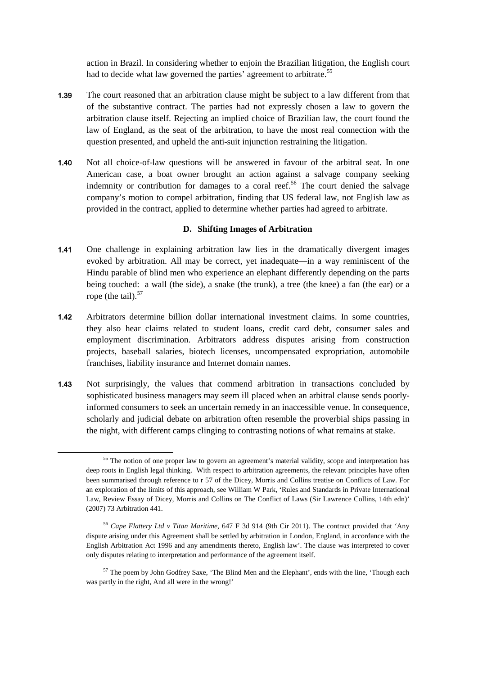action in Brazil. In considering whether to enjoin the Brazilian litigation, the English court had to decide what law governed the parties' agreement to arbitrate.<sup>[55](#page-14-0)</sup>

- 1.39 The court reasoned that an arbitration clause might be subject to a law different from that of the substantive contract. The parties had not expressly chosen a law to govern the arbitration clause itself. Rejecting an implied choice of Brazilian law, the court found the law of England, as the seat of the arbitration, to have the most real connection with the question presented, and upheld the anti-suit injunction restraining the litigation.
- 1.40 Not all choice-of-law questions will be answered in favour of the arbitral seat. In one American case, a boat owner brought an action against a salvage company seeking indemnity or contribution for damages to a coral reef.<sup>[56](#page-14-1)</sup> The court denied the salvage company's motion to compel arbitration, finding that US federal law, not English law as provided in the contract, applied to determine whether parties had agreed to arbitrate.

#### **D. Shifting Images of Arbitration**

- 1.41 One challenge in explaining arbitration law lies in the dramatically divergent images evoked by arbitration. All may be correct, yet inadequate—in a way reminiscent of the Hindu parable of blind men who experience an elephant differently depending on the parts being touched: a wall (the side), a snake (the trunk), a tree (the knee) a fan (the ear) or a rope (the tail). $57$
- 1.42 Arbitrators determine billion dollar international investment claims. In some countries, they also hear claims related to student loans, credit card debt, consumer sales and employment discrimination. Arbitrators address disputes arising from construction projects, baseball salaries, biotech licenses, uncompensated expropriation, automobile franchises, liability insurance and Internet domain names.
- 1.43 Not surprisingly, the values that commend arbitration in transactions concluded by sophisticated business managers may seem ill placed when an arbitral clause sends poorlyinformed consumers to seek an uncertain remedy in an inaccessible venue. In consequence, scholarly and judicial debate on arbitration often resemble the proverbial ships passing in the night, with different camps clinging to contrasting notions of what remains at stake.

<span id="page-14-0"></span><sup>&</sup>lt;sup>55</sup> The notion of one proper law to govern an agreement's material validity, scope and interpretation has deep roots in English legal thinking. With respect to arbitration agreements, the relevant principles have often been summarised through reference to r 57 of the Dicey, Morris and Collins treatise on Conflicts of Law. For an exploration of the limits of this approach, see William W Park, 'Rules and Standards in Private International Law, Review Essay of Dicey, Morris and Collins on The Conflict of Laws (Sir Lawrence Collins, 14th edn)' (2007) 73 Arbitration 441.

<span id="page-14-1"></span><sup>56</sup> *Cape Flattery Ltd v Titan Maritime*, 647 F 3d 914 (9th Cir 2011). The contract provided that 'Any dispute arising under this Agreement shall be settled by arbitration in London, England, in accordance with the English Arbitration Act 1996 and any amendments thereto, English law'. The clause was interpreted to cover only disputes relating to interpretation and performance of the agreement itself.

<span id="page-14-2"></span><sup>&</sup>lt;sup>57</sup> The poem by John Godfrey Saxe, 'The Blind Men and the Elephant', ends with the line, 'Though each was partly in the right, And all were in the wrong!'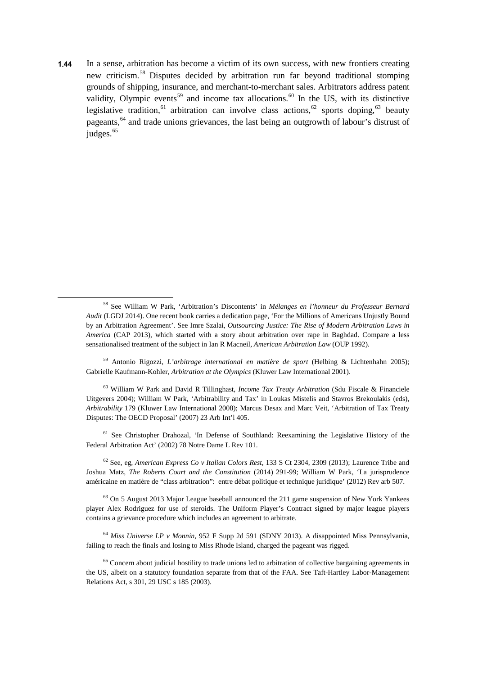1.44 In a sense, arbitration has become a victim of its own success, with new frontiers creating new criticism.[58](#page-15-0) Disputes decided by arbitration run far beyond traditional stomping grounds of shipping, insurance, and merchant-to-merchant sales. Arbitrators address patent validity, Olympic events<sup>[59](#page-15-1)</sup> and income tax allocations.<sup>[60](#page-15-2)</sup> In the US, with its distinctive legislative tradition,<sup>[61](#page-15-3)</sup> arbitration can involve class actions,<sup>[62](#page-15-4)</sup> sports doping,<sup>[63](#page-15-5)</sup> beauty pageants,<sup>[64](#page-15-6)</sup> and trade unions grievances, the last being an outgrowth of labour's distrust of judges.<sup>[65](#page-15-7)</sup>

<span id="page-15-0"></span>1

<span id="page-15-1"></span><sup>59</sup> Antonio Rigozzi, *L'arbitrage international en matière de sport* (Helbing & Lichtenhahn 2005); Gabrielle Kaufmann-Kohler, *Arbitration at the Olympics* (Kluwer Law International 2001).

<span id="page-15-2"></span><sup>60</sup> William W Park and David R Tillinghast, *Income Tax Treaty Arbitration* (Sdu Fiscale & Financiele Uitgevers 2004); William W Park, 'Arbitrability and Tax' in Loukas Mistelis and Stavros Brekoulakis (eds), *Arbitrability* 179 (Kluwer Law International 2008); Marcus Desax and Marc Veit, 'Arbitration of Tax Treaty Disputes: The OECD Proposal' (2007) 23 Arb Int'l 405.

<span id="page-15-3"></span><sup>61</sup> See Christopher Drahozal, 'In Defense of Southland: Reexamining the Legislative History of the Federal Arbitration Act' (2002) 78 Notre Dame L Rev 101.

<span id="page-15-4"></span><sup>62</sup> See, eg, *American Express Co v Italian Colors Rest,* 133 S Ct 2304, 2309 (2013); Laurence Tribe and Joshua Matz, *The Roberts Court and the Constitution* (2014) 291-99; William W Park, 'La jurisprudence américaine en matière de "class arbitration": entre débat politique et technique juridique' (2012) Rev arb 507.

<span id="page-15-5"></span> $63$  On 5 August 2013 Major League baseball announced the 211 game suspension of New York Yankees player Alex Rodriguez for use of steroids. The Uniform Player's Contract signed by major league players contains a grievance procedure which includes an agreement to arbitrate.

<span id="page-15-6"></span><sup>64</sup> *Miss Universe LP v Monnin*, 952 F Supp 2d 591 (SDNY 2013). A disappointed Miss Pennsylvania, failing to reach the finals and losing to Miss Rhode Island, charged the pageant was rigged.

<span id="page-15-7"></span><sup>65</sup> Concern about judicial hostility to trade unions led to arbitration of collective bargaining agreements in the US, albeit on a statutory foundation separate from that of the FAA. See Taft-Hartley Labor-Management Relations Act, s 301, 29 USC s 185 (2003).

<sup>58</sup> See William W Park, 'Arbitration's Discontents' in *Mélanges en l'honneur du Professeur Bernard Audit* (LGDJ 2014). One recent book carries a dedication page, 'For the Millions of Americans Unjustly Bound by an Arbitration Agreement'. See Imre Szalai, *Outsourcing Justice: The Rise of Modern Arbitration Laws in America* (CAP 2013), which started with a story about arbitration over rape in Baghdad. Compare a less sensationalised treatment of the subject in Ian R Macneil, *American Arbitration Law* (OUP 1992).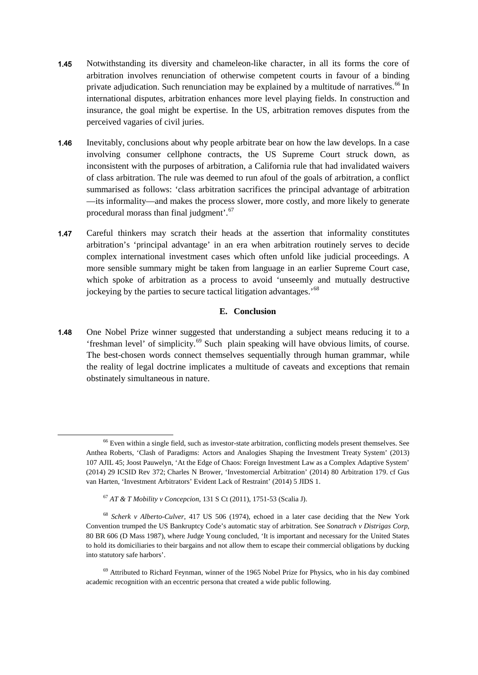- 1.45 Notwithstanding its diversity and chameleon-like character, in all its forms the core of arbitration involves renunciation of otherwise competent courts in favour of a binding private adjudication. Such renunciation may be explained by a multitude of narratives.<sup>[66](#page-16-0)</sup> In international disputes, arbitration enhances more level playing fields. In construction and insurance, the goal might be expertise. In the US, arbitration removes disputes from the perceived vagaries of civil juries.
- 1.46 Inevitably, conclusions about why people arbitrate bear on how the law develops. In a case involving consumer cellphone contracts, the US Supreme Court struck down, as inconsistent with the purposes of arbitration, a California rule that had invalidated waivers of class arbitration. The rule was deemed to run afoul of the goals of arbitration, a conflict summarised as follows: 'class arbitration sacrifices the principal advantage of arbitration —its informality—and makes the process slower, more costly, and more likely to generate procedural morass than final judgment'.<sup>[67](#page-16-1)</sup>
- 1.47 Careful thinkers may scratch their heads at the assertion that informality constitutes arbitration's 'principal advantage' in an era when arbitration routinely serves to decide complex international investment cases which often unfold like judicial proceedings. A more sensible summary might be taken from language in an earlier Supreme Court case, which spoke of arbitration as a process to avoid 'unseemly and mutually destructive jockeying by the parties to secure tactical litigation advantages.'[68](#page-16-2)

#### **E. Conclusion**

1.48 One Nobel Prize winner suggested that understanding a subject means reducing it to a 'freshman level' of simplicity.[69](#page-16-3) Such plain speaking will have obvious limits, of course. The best-chosen words connect themselves sequentially through human grammar, while the reality of legal doctrine implicates a multitude of caveats and exceptions that remain obstinately simultaneous in nature.

<span id="page-16-0"></span><sup>&</sup>lt;sup>66</sup> Even within a single field, such as investor-state arbitration, conflicting models present themselves. See Anthea Roberts, 'Clash of Paradigms: Actors and Analogies Shaping the Investment Treaty System' (2013) 107 AJIL 45; Joost Pauwelyn, 'At the Edge of Chaos: Foreign Investment Law as a Complex Adaptive System' (2014) 29 ICSID Rev 372; Charles N Brower, 'Investomercial Arbitration' (2014) 80 Arbitration 179. cf Gus van Harten, 'Investment Arbitrators' Evident Lack of Restraint' (2014) 5 JIDS 1.

<sup>67</sup> *AT & T Mobility v Concepcion*, 131 S Ct (2011), 1751-53 (Scalia J).

<span id="page-16-2"></span><span id="page-16-1"></span><sup>68</sup> *Scherk v Alberto-Culver*, 417 US 506 (1974), echoed in a later case deciding that the New York Convention trumped the US Bankruptcy Code's automatic stay of arbitration. See *Sonatrach v Distrigas Corp*, 80 BR 606 (D Mass 1987), where Judge Young concluded, 'It is important and necessary for the United States to hold its domiciliaries to their bargains and not allow them to escape their commercial obligations by ducking into statutory safe harbors'.

<span id="page-16-3"></span> $69$  Attributed to Richard Feynman, winner of the 1965 Nobel Prize for Physics, who in his day combined academic recognition with an eccentric persona that created a wide public following.